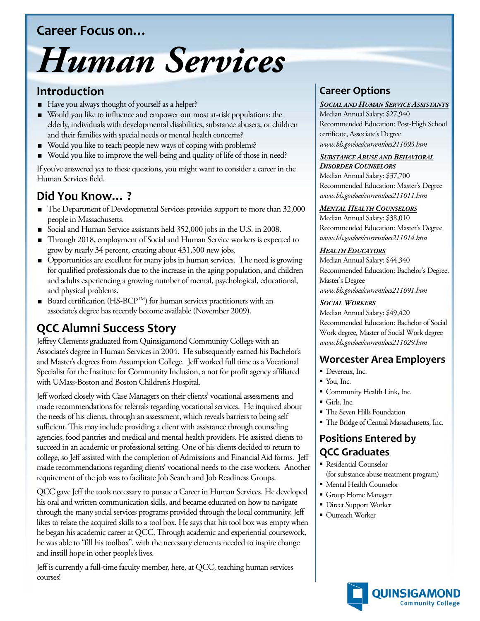# **Career Focus on…**

# *Human Services*

## **Introduction**

- Have you always thought of yourself as a helper?
- Would you like to influence and empower our most at-risk populations: the elderly, individuals with developmental disabilities, substance abusers, or children and their families with special needs or mental health concerns?
- Would you like to teach people new ways of coping with problems?
- Would you like to improve the well-being and quality of life of those in need?

If you've answered yes to these questions, you might want to consider a career in the Human Services field.

# **Did You Know… ?**

- The Department of Developmental Services provides support to more than 32,000 people in Massachusetts.
- Social and Human Service assistants held 352,000 jobs in the U.S. in 2008.
- Through 2018, employment of Social and Human Service workers is expected to grow by nearly 34 percent, creating about 431,500 new jobs.
- Opportunities are excellent for many jobs in human services. The need is growing for qualified professionals due to the increase in the aging population, and children and adults experiencing a growing number of mental, psychological, educational, and physical problems.
- Board certification (HS-BCP<sup>TM</sup>) for human services practitioners with an associate's degree has recently become available (November 2009).

# **QCC Alumni Success Story**

Jeffrey Clements graduated from Quinsigamond Community College with an Associate's degree in Human Services in 2004. He subsequently earned his Bachelor's and Master's degrees from Assumption College. Jeff worked full time as a Vocational Specialist for the Institute for Community Inclusion, a not for profit agency affiliated with UMass-Boston and Boston Children's Hospital.

Jeff worked closely with Case Managers on their clients' vocational assessments and made recommendations for referrals regarding vocational services. He inquired about the needs of his clients, through an assessment, which reveals barriers to being self sufficient. This may include providing a client with assistance through counseling agencies, food pantries and medical and mental health providers. He assisted clients to succeed in an academic or professional setting. One of his clients decided to return to college, so Jeff assisted with the completion of Admissions and Financial Aid forms. Jeff made recommendations regarding clients' vocational needs to the case workers. Another requirement of the job was to facilitate Job Search and Job Readiness Groups.

QCC gave Jeff the tools necessary to pursue a Career in Human Services. He developed his oral and written communication skills, and became educated on how to navigate through the many social services programs provided through the local community. Jeff likes to relate the acquired skills to a tool box. He says that his tool box was empty when he began his academic career at QCC. Through academic and experiential coursework, he was able to "fill his toolbox", with the necessary elements needed to inspire change and instill hope in other people's lives.

Jeff is currently a full-time faculty member, here, at QCC, teaching human services courses!

## **Career Options**

#### *SOCIAL AND HUMAN SERVICE ASSISTANTS*

Median Annual Salary: \$27,940 Recommended Education: Post-High School certificate, Associate's Degree *www.bls.gov/oes/current/oes211093.htm*

#### *SUBSTANCE ABUSE AND BEHAVIORAL DISORDER COUNSELORS*

Median Annual Salary: \$37,700 Recommended Education: Master's Degree *www.bls.gov/oes/current/oes211011.htm*

#### *MENTAL HEALTH COUNSELORS*

Median Annual Salary: \$38,010 Recommended Education: Master's Degree *www.bls.gov/oes/current/oes211014.htm*

#### *HEALTH EDUCATORS*

Median Annual Salary: \$44,340 Recommended Education: Bachelor's Degree, Master's Degree *www.bls.gov/oes/current/oes211091.htm*

#### *SOCIAL WORKERS*

Median Annual Salary: \$49,420 Recommended Education: Bachelor of Social Work degree, Master of Social Work degree *www.bls.gov/oes/current/oes211029.htm*

## **Worcester Area Employers**

- Devereux, Inc.
- $\blacksquare$  You, Inc.
- Community Health Link, Inc.
- Girls, Inc.
- The Seven Hills Foundation
- The Bridge of Central Massachusetts, Inc.

## **Positions Entered by QCC Graduates**

- Residential Counselor (for substance abuse treatment program)
- Mental Health Counselor
- Group Home Manager
- **Direct Support Worker**
- Outreach Worker